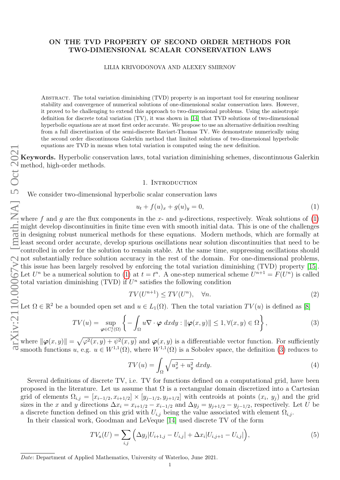## ON THE TVD PROPERTY OF SECOND ORDER METHODS FOR TWO-DIMENSIONAL SCALAR CONSERVATION LAWS

### LILIA KRIVODONOVA AND ALEXEY SMIRNOV

Abstract. The total variation diminishing (TVD) property is an important tool for ensuring nonlinear stability and convergence of numerical solutions of one-dimensional scalar conservation laws. However, it proved to be challenging to extend this approach to two-dimensional problems. Using the anisotropic definition for discrete total variation (TV), it was shown in [\[14\]](#page-15-0) that TVD solutions of two-dimensional hyperbolic equations are at most first order accurate. We propose to use an alternative definition resulting from a full discretization of the semi-discrete Raviart-Thomas TV. We demonstrate numerically using the second order discontinuous Galerkin method that limited solutions of two-dimensional hyperbolic equations are TVD in means when total variation is computed using the new definition.

Keywords. Hyperbolic conservation laws, total variation diminishing schemes, discontinuous Galerkin method, high-order methods.

# 1. INTRODUCTION

We consider two-dimensional hyperbolic scalar conservation laws

<span id="page-0-0"></span>
$$
u_t + f(u)_x + g(u)_y = 0,
$$
\n(1)

where f and g are the flux components in the x- and y-directions, respectively. Weak solutions of  $(1)$ might develop discontinuities in finite time even with smooth initial data. This is one of the challenges in designing robust numerical methods for these equations. Modern methods, which are formally at least second order accurate, develop spurious oscillations near solution discontinuities that need to be controlled in order for the solution to remain stable. At the same time, suppressing oscillations should not substantially reduce solution accuracy in the rest of the domain. For one-dimensional problems, this issue has been largely resolved by enforcing the total variation diminishing (TVD) property [\[15\]](#page-15-1). Let  $U^n$  be a numerical solution to [\(1\)](#page-0-0) at  $t = t^n$ . A one-step numerical scheme  $U^{n+1} = F(U^n)$  is called total variation diminishing (TVD) if  $U<sup>n</sup>$  satisfies the following condition

$$
TV(U^{n+1}) \le TV(U^n), \quad \forall n. \tag{2}
$$

Let  $\Omega \in \mathbb{R}^2$  be a bounded open set and  $u \in L_1(\Omega)$ . Then the total variation  $TV(u)$  is defined as [\[8\]](#page-15-2)

<span id="page-0-1"></span>
$$
TV(u) = \sup_{\boldsymbol{\varphi} \in C_c^1(\Omega)} \left\{ -\int_{\Omega} u \nabla \cdot \boldsymbol{\varphi} \, dxdy : \|\boldsymbol{\varphi}(x, y)\| \le 1, \forall (x, y) \in \Omega \right\},\tag{3}
$$

where  $\|\boldsymbol{\varphi}(x,y)\| = \sqrt{\varphi^2(x,y) + \psi^2(x,y)}$  and  $\boldsymbol{\varphi}(x,y)$  is a differentiable vector function. For sufficiently smooth functions u, e.g.  $u \in W^{1,1}(\Omega)$ , where  $W^{1,1}(\Omega)$  is a Sobolev space, the definition [\(3\)](#page-0-1) reduces to

<span id="page-0-3"></span>
$$
TV(u) = \int_{\Omega} \sqrt{u_x^2 + u_y^2} \, dxdy. \tag{4}
$$

Several definitions of discrete TV, i.e. TV for functions defined on a computational grid, have been proposed in the literature. Let us assume that  $\Omega$  is a rectangular domain discretized into a Cartesian grid of elements  $\Omega_{i,j} = [x_{i-1/2}, x_{i+1/2}] \times [y_{j-1/2}, y_{j+1/2}]$  with centroids at points  $(x_i, y_j)$  and the grid sizes in the x and y directions  $\Delta x_i = x_{i+1/2} - x_{i-1/2}$  and  $\Delta y_j = y_{j+1/2} - y_{j-1/2}$ , respectively. Let U be a discrete function defined on this grid with  $U_{i,j}$  being the value associated with element  $\Omega_{i,j}$ .

In their classical work, Goodman and LeVeque [\[14\]](#page-15-0) used discrete TV of the form

<span id="page-0-2"></span>
$$
TV_a(U) = \sum_{i,j} \left( \Delta y_j |U_{i+1,j} - U_{i,j}| + \Delta x_i |U_{i,j+1} - U_{i,j}| \right),\tag{5}
$$

Date: Department of Applied Mathematics, University of Waterloo, June 2021.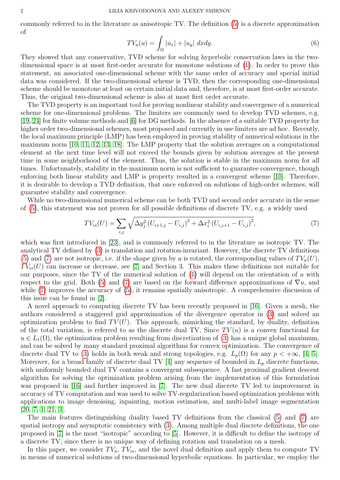commonly referred to in the literature as anisotropic TV. The definition [\(5\)](#page-0-2) is a discrete approximation of

<span id="page-1-1"></span>
$$
TV_a(u) = \int_{\Omega} |u_x| + |u_y| \, dxdy. \tag{6}
$$

They showed that any conservative, TVD scheme for solving hyperbolic conservation laws in the twodimensional space is at most first-order accurate for monotone solutions of [\(1\)](#page-0-0). In order to prove this statement, an associated one-dimensional scheme with the same order of accuracy and special initial data was considered. If the two-dimensional scheme is TVD, then the corresponding one-dimensional scheme should be monotone at least on certain initial data and, therefore, is at most first-order accurate. Thus, the original two-dimensional scheme is also at most first order accurate.

The TVD property is an important tool for proving nonlinear stability and convergence of a numerical scheme for one-dimensional problems. The limiters are commonly used to develop TVD schemes, e.g. [\[19,](#page-15-3) [24\]](#page-15-4) for finite volume methods and [\[6\]](#page-15-5) for DG methods. In the absence of a suitable TVD property for higher order two-dimensional schemes, most proposed and currently in use limiters are ad hoc. Recently, the local maximum principle (LMP) has been employed in proving stability of numerical solutions in the maximum norm [\[10,](#page-15-6) [11,](#page-15-7) [12,](#page-15-8) [13,](#page-15-9) [18\]](#page-15-10). The LMP property that the solution averages on a computational element at the next time level will not exceed the bounds given by solution averages at the present time in some neighborhood of the element. Thus, the solution is stable in the maximum norm for all times. Unfortunately, stability in the maximum norm is not sufficient to guarantee convergence, though enforcing both linear stability and LMP is property resulted in a convergent scheme [\[10\]](#page-15-6). Therefore, it is desirable to develop a TVD definition, that once enforced on solutions of high-order schemes, will guarantee stability and convergence.

While no two-dimensional numerical scheme can be both TVD and second order accurate in the sense of [\(5\)](#page-0-2), this statement was not proven for all possible definitions of discrete TV, e.g. a widely used

<span id="page-1-0"></span>
$$
TV_{is}(U) = \sum_{i,j} \sqrt{\Delta y_j^2 (U_{i+1,j} - U_{i,j})^2 + \Delta x_i^2 (U_{i,j+1} - U_{i,j})^2},
$$
\n(7)

which was first introduced in [\[23\]](#page-15-11), and is commonly referred to in the literature as isotropic TV. The analytical TV defined by [\(3\)](#page-0-1) is translation and rotation-invariant. However, the discrete TV definitions [\(5\)](#page-0-2) and [\(7\)](#page-1-0) are not isotropic, i.e. if the shape given by u is rotated, the corresponding values of  $TV_a(U)$ ,  $TV_{is}(U)$  can increase or decrease, see [\[7\]](#page-15-12) and Section 3. This makes these definitions not suitable for our purposes, since the TV of the numerical solution of  $(1)$  will depend on the orientation of u with respect to the grid. Both [\(5\)](#page-0-2) and [\(7\)](#page-1-0) are based on the forward difference approximations of  $\nabla u$ , and while [\(7\)](#page-1-0) improves the accuracy of [\(5\)](#page-0-2), it remains spatially anisotropic. A comprehensive discussion of this issue can be found in [\[2\]](#page-14-0).

A novel approach to computing discrete TV has been recently proposed in [\[16\]](#page-15-13). Given a mesh, the authors considered a staggered grid approximation of the divergence operator in [\(3\)](#page-0-1) and solved an optimization problem to find  $TV(U)$ . This approach, mimicking the standard, by duality, definition of the total variation, is referred to as the discrete dual TV. Since  $TV(u)$  is a convex functional for  $u \in L_1(\Omega)$ , the optimization problem resulting from discretization of [\(3\)](#page-0-1) has a unique global maximum, and can be solved by many standard proximal algorithms for convex optimization. The convergence of discrete dual TV to [\(3\)](#page-0-1) holds in both weak and strong topologies, e.g.  $L_p(\Omega)$  for any  $p < +\infty$ , [\[4,](#page-14-1) [5\]](#page-14-2). Moreover, for a broad family of discrete dual TV [\[4\]](#page-14-1) any sequence of bounded in  $L_p$  discrete functions, with uniformly bounded dual TV contains a convergent subsequence. A fast proximal gradient descent algorithm for solving the optimization problem arising from the implementation of this formulation was proposed in [\[16\]](#page-15-13) and further improved in [\[7\]](#page-15-12). The new dual discrete TV led to improvement in accuracy of TV computation and was used to solve TV-regularization based optimization problems with applications to image denoising, inpainting, motion estimation, and multi-label image segmentation [\[20,](#page-15-14) [7,](#page-15-12) [1,](#page-14-3) [21,](#page-15-15) [3\]](#page-14-4).

The main features distinguishing duality based TV definitions from the classical [\(5\)](#page-0-2) and [\(7\)](#page-1-0) are spatial isotropy and asymptotic consistency with [\(3\)](#page-0-1). Among multiple dual discrete definitions, the one proposed in [\[7\]](#page-15-12) is the most "isotropic" according to [\[5\]](#page-14-2). However, it is difficult to define the isotropy of a discrete TV, since there is no unique way of defining rotation and translation on a mesh.

In this paper, we consider  $TV_a$ ,  $TV_{is}$ , and the novel dual definition and apply them to compute TV in means of numerical solutions of two-dimensional hyperbolic equations. In particular, we employ the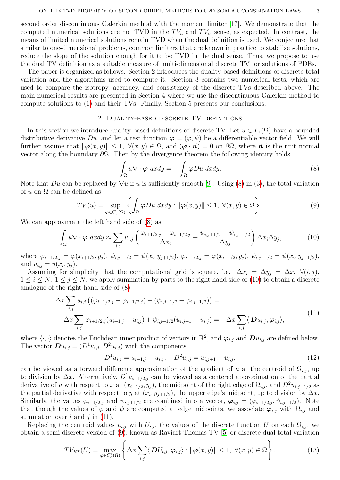second order discontinuous Galerkin method with the moment limiter [\[17\]](#page-15-16). We demonstrate that the computed numerical solutions are not TVD in the  $TV_a$  and  $TV_{is}$  sense, as expected. In contrast, the means of limited numerical solutions remain TVD when the dual definition is used. We conjecture that similar to one-dimensional problems, common limiters that are known in practice to stabilize solutions, reduce the slope of the solution enough for it to be TVD in the dual sense. Thus, we propose to use the dual TV definition as a suitable measure of multi-dimensional discrete TV for solutions of PDEs.

The paper is organized as follows. Section 2 introduces the duality-based definitions of discrete total variation and the algorithms used to compute it. Section 3 contains two numerical tests, which are used to compare the isotropy, accuracy, and consistency of the discrete TVs described above. The main numerical results are presented in Section 4 where we use the discontinuous Galerkin method to compute solutions to [\(1\)](#page-0-0) and their TVs. Finally, Section 5 presents our conclusions.

### 2. DUALITY-BASED DISCRETE TV DEFINITIONS

In this section we introduce duality-based definitions of discrete TV. Let  $u \in L_1(\Omega)$  have a bounded distributive derivative Du, and let a test function  $\varphi = (\varphi, \psi)$  be a differentiable vector field. We will further assume that  $\|\boldsymbol{\varphi}(x, y)\| \leq 1$ ,  $\forall (x, y) \in \Omega$ , and  $(\boldsymbol{\varphi} \cdot \vec{\boldsymbol{n}}) = 0$  on  $\partial \Omega$ , where  $\vec{\boldsymbol{n}}$  is the unit normal vector along the boundary  $\partial\Omega$ . Then by the divergence theorem the following identity holds

<span id="page-2-0"></span>
$$
\int_{\Omega} u \nabla \cdot \boldsymbol{\varphi} \, dx dy = - \int_{\Omega} \boldsymbol{\varphi} Du \, dx dy. \tag{8}
$$

Note that Du can be replaced by  $\nabla u$  if u is sufficiently smooth [\[9\]](#page-15-17). Using [\(8\)](#page-2-0) in [\(3\)](#page-0-1), the total variation of u on  $\Omega$  can be defined as

<span id="page-2-3"></span>
$$
TV(u) = \sup_{\varphi \in C_c^1(\Omega)} \left\{ \int_{\Omega} \varphi Du \, dxdy : \|\varphi(x,y)\| \le 1, \ \forall (x,y) \in \Omega \right\}.
$$
 (9)

We can approximate the left hand side of [\(8\)](#page-2-0) as

<span id="page-2-1"></span>
$$
\int_{\Omega} u \nabla \cdot \boldsymbol{\varphi} \, dxdy \approx \sum_{i,j} u_{i,j} \left( \frac{\varphi_{i+1/2,j} - \varphi_{i-1/2,j}}{\Delta x_i} + \frac{\psi_{i,j+1/2} - \psi_{i,j-1/2}}{\Delta y_j} \right) \Delta x_i \Delta y_j, \tag{10}
$$

where  $\varphi_{i+1/2,j} = \varphi(x_{i+1/2}, y_j)$ ,  $\psi_{i,j+1/2} = \psi(x_i, y_{j+1/2})$ ,  $\varphi_{i-1/2,j} = \varphi(x_{i-1/2}, y_j)$ ,  $\psi_{i,j-1/2} = \psi(x_i, y_{j-1/2})$ , and  $u_{i,j} = u(x_i, y_j)$ .

Assuming for simplicity that the computational grid is square, i.e.  $\Delta x_i = \Delta y_i = \Delta x$ ,  $\forall (i, j)$ ,  $1 \leq i \leq N$ ,  $1 \leq j \leq N$ , we apply summation by parts to the right hand side of [\(10\)](#page-2-1) to obtain a discrete analogue of the right hand side of [\(8\)](#page-2-0)

<span id="page-2-2"></span>
$$
\Delta x \sum_{i,j} u_{i,j} \left( (\varphi_{i+1/2,j} - \varphi_{i-1/2,j}) + (\psi_{i,j+1/2} - \psi_{i,j-1/2}) \right) =
$$
  
- 
$$
\Delta x \sum_{i,j} \varphi_{i+1/2,j} (u_{i+1,j} - u_{i,j}) + \psi_{i,j+1/2} (u_{i,j+1} - u_{i,j}) = -\Delta x \sum_{i,j} \langle Du_{i,j}, \varphi_{i,j} \rangle,
$$
 (11)

where  $\langle \cdot, \cdot \rangle$  denotes the Euclidean inner product of vectors in  $\mathbb{R}^2$ , and  $\boldsymbol{\varphi}_{i,j}$  and  $\boldsymbol{Du}_{i,j}$  are defined below. The vector  $\mathbf{D} u_{i,j} = (D^1 u_{i,j}, D^2 u_{i,j})$  with the components

<span id="page-2-5"></span>
$$
D^{1}u_{i,j} = u_{i+1,j} - u_{i,j}, \quad D^{2}u_{i,j} = u_{i,j+1} - u_{i,j}, \tag{12}
$$

can be viewed as a forward difference approximation of the gradient of u at the centroid of  $\Omega_{i,j}$ , up to division by  $\Delta x$ . Alternatively,  $D^1u_{i+1/2,j}$  can be viewed as a centered approximation of the partial derivative of u with respect to x at  $(x_{i+1/2}, y_j)$ , the midpoint of the right edge of  $\Omega_{i,j}$ , and  $D^2u_{i,j+1/2}$  as the partial derivative with respect to y at  $(x_i, y_{j+1/2})$ , the upper edge's midpoint, up to division by  $\Delta x$ . Similarly, the values  $\varphi_{i+1/2,j}$  and  $\psi_{i,j+1/2}$  are combined into a vector,  $\varphi_{i,j} = (\varphi_{i+1/2,j}, \psi_{i,j+1/2})$ . Note that though the values of  $\varphi$  and  $\psi$  are computed at edge midpoints, we associate  $\varphi_{i,j}$  with  $\Omega_{i,j}$  and summation over  $i$  and  $j$  in [\(11\)](#page-2-2).

Replacing the centroid values  $u_{i,j}$  with  $U_{i,j}$ , the values of the discrete function U on each  $\Omega_{i,j}$ , we obtain a semi-discrete version of [\(9\)](#page-2-3), known as Raviart-Thomas TV [\[5\]](#page-14-2) or discrete dual total variation

<span id="page-2-4"></span>
$$
TV_{RT}(U) = \max_{\varphi \in C_c^1(\Omega)} \left\{ \Delta x \sum_{i,j} \langle \mathbf{D} U_{i,j}, \varphi_{i,j} \rangle : ||\varphi(x,y)|| \le 1, \ \forall (x,y) \in \Omega \right\}.
$$
 (13)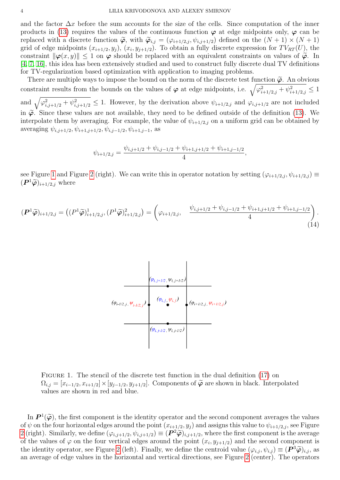and the factor  $\Delta x$  before the sum accounts for the size of the cells. Since computation of the inner products in [\(13\)](#page-2-4) requires the values of the continuous function  $\varphi$  at edge midpoints only,  $\varphi$  can be replaced with a discrete function  $\tilde{\varphi}$ , with  $\tilde{\varphi}_{i,j} = (\varphi_{i+1/2,j}, \psi_{i,j+1/2})$  defined on the  $(N+1) \times (N+1)$ grid of edge midpoints  $(x_{i+1/2}, y_j)$ ,  $(x_i, y_{j+1/2})$ . To obtain a fully discrete expression for  $TV_{RT}(U)$ , the constraint  $\|\varphi(x, y)\| \leq 1$  on  $\varphi$  should be replaced with an equivalent constraints on values of  $\tilde{\varphi}$ . In [\[4,](#page-14-1) [7,](#page-15-12) [16\]](#page-15-13), this idea has been extensively studied and used to construct fully discrete dual TV definitions for TV-regularization based optimization with application to imaging problems.

There are multiple ways to impose the bound on the norm of the discrete test function  $\tilde{\varphi}$ . An obvious constraint results from the bounds on the values of  $\varphi$  at edge midpoints, i.e.  $\sqrt{\varphi_{i+1/2,j}^2 + \psi_{i+1/2,j}^2} \leq 1$ and  $\sqrt{\varphi_{i,j+1/2}^2 + \psi_{i,j+1/2}^2} \leq 1$ . However, by the derivation above  $\psi_{i+1/2,j}$  and  $\varphi_{i,j+1/2}$  are not included in  $\tilde{\varphi}$ . Since these values are not available, they need to be defined outside of the definition [\(13\)](#page-2-4). We interpolate them by averaging. For example, the value of  $\psi_{i+1/2,j}$  on a uniform grid can be obtained by averaging  $\psi_{i,j+1/2}, \psi_{i+1,j+1/2}, \psi_{i,j-1/2}, \psi_{i+1,j-1}$ , as

$$
\psi_{i+1/2,j} = \frac{\psi_{i,j+1/2} + \psi_{i,j-1/2} + \psi_{i+1,j+1/2} + \psi_{i+1,j-1/2}}{4},
$$

see Figure [1](#page-3-0) and Figure [2](#page-4-0) (right). We can write this in operator notation by setting  $(\varphi_{i+1/2,j}, \psi_{i+1/2,j}) \equiv$  $(P^1\widetilde{\varphi})_{i+1/2,j}$  where

<span id="page-3-1"></span><span id="page-3-0"></span>
$$
(\boldsymbol{P}^1 \widetilde{\boldsymbol{\varphi}})_{i+1/2,j} = ((P^1 \widetilde{\boldsymbol{\varphi}})_{i+1/2,j}^1, (P^1 \widetilde{\boldsymbol{\varphi}})_{i+1/2,j}^2) = \begin{pmatrix} \psi_{i+1/2,j}, & \frac{\psi_{i,j+1/2} + \psi_{i,j-1/2} + \psi_{i+1,j+1/2} + \psi_{i+1,j-1/2}}{4} \end{pmatrix} .
$$
\n(14)



FIGURE 1. The stencil of the discrete test function in the dual definition [\(17\)](#page-4-1) on  $\Omega_{i,j} = [x_{i-1/2}, x_{i+1/2}] \times [y_{j-1/2}, y_{j+1/2}]$ . Components of  $\widetilde{\varphi}$  are shown in black. Interpolated values are shown in red and blue.

In  $\mathbf{P}^1(\widetilde{\varphi})$ , the first component is the identity operator and the second component averages the values<br>the four horizontal odges around the point  $(x, y, y, y)$  and assigns this value to the second Figure of  $\psi$  on the four horizontal edges around the point  $(x_{i+1/2}, y_j)$  and assigns this value to  $\psi_{i+1/2,j}$ , see Figure [2](#page-4-0) (right). Similarly, we define  $(\varphi_{i,j+1/2}, \psi_{i,j+1/2}) \equiv (\mathbf{P}^2 \widetilde{\varphi})_{i,j+1/2}$ , where the first component is the average<br>of the values of  $\varphi$  on the four vertical edges around the point  $(x, y, \psi_k)$  and the second comp of the values of  $\varphi$  on the four vertical edges around the point  $(x_i, y_{j+1/2})$  and the second component is the identity operator, see Figure [2](#page-4-0) (left). Finally, we define the centroid value  $(\varphi_{i,j}, \psi_{i,j}) \equiv (\mathbf{P}^3 \widetilde{\varphi})_{i,j}$ , as<br>an average of edge values in the horizontal and vertical directions, see Figure 2 (contex). The o an average of edge values in the horizontal and vertical directions, see Figure [2](#page-4-0) (center). The operators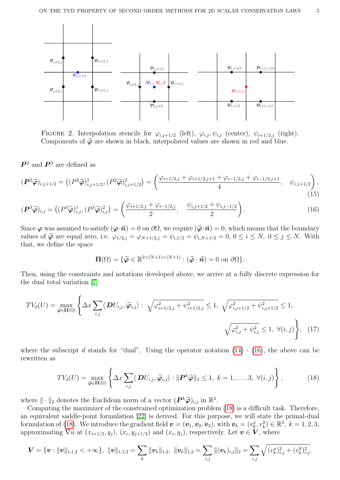<span id="page-4-0"></span>

FIGURE 2. Interpolation stencils for  $\varphi_{i,j+1/2}$  (left),  $\varphi_{i,j}$ ,  $\psi_{i,j}$  (center),  $\psi_{i+1/2,j}$  (right). Components of  $\tilde{\varphi}$  are shown in black, interpolated values are shown in red and blue.

 $\mathbb{P}^2$  and  $\mathbb{P}^3$  are defined as

$$
(\boldsymbol{P}^2 \widetilde{\boldsymbol{\varphi}})_{i,j+1/2} = ((P^2 \widetilde{\boldsymbol{\varphi}})_{i,j+1/2}^1, (P^2 \widetilde{\boldsymbol{\varphi}})_{i,j+1/2}^2) = \left(\frac{\varphi_{i+1/2,j} + \varphi_{i+1/2,j+1} + \varphi_{i-1/2,j} + \varphi_{i-1/2,j+1}}{4}, \quad \psi_{i,j+1/2}\right),
$$
\n(15)

$$
(\boldsymbol{P}^3 \widetilde{\boldsymbol{\varphi}})_{i,j} = \left( (P^3 \widetilde{\boldsymbol{\varphi}})_{i,j}^1, (P^3 \widetilde{\boldsymbol{\varphi}})_{i,j}^2 \right) = \left( \frac{\varphi_{i+1/2,j} + \varphi_{i-1/2,j}}{2}, \frac{\psi_{i,j+1/2} + \psi_{i,j-1/2}}{2} \right). \tag{16}
$$

Since  $\varphi$  was assumed to satisfy  $(\varphi \cdot \vec{n}) = 0$  on  $\partial\Omega$ , we require  $(\tilde{\varphi} \cdot \vec{n}) = 0$ , which means that the boundary values of  $\widetilde{\varphi}$  are equal zero, i.e.  $\varphi_{1/2,j} = \varphi_{N+1/2,j} = \psi_{i,1/2} = \psi_{i,N+1/2} = 0, 0 \le i \le N, 0 \le j \le N$ . With that, we define the space

<span id="page-4-2"></span><span id="page-4-1"></span>
$$
\Pi(\Omega) = \{ \widetilde{\boldsymbol{\varphi}} \in \mathbb{R}^{2 \times (N+1) \times (N+1)} : (\widetilde{\boldsymbol{\varphi}} \cdot \vec{\boldsymbol{n}}) = 0 \text{ on } \partial \Omega \}.
$$

Then, using the constraints and notations developed above, we arrive at a fully discrete expression for the dual total variation [\[7\]](#page-15-12)

$$
TV_d(U) = \max_{\tilde{\varphi} \in \Pi(\Omega)} \left\{ \Delta x \sum_{i,j} \langle DU_{i,j}, \tilde{\varphi}_{i,j} \rangle : \sqrt{\varphi_{i+1/2,j}^2 + \psi_{i+1/2,j}^2} \le 1, \sqrt{\varphi_{i,j+1/2}^2 + \psi_{i,j+1/2}^2} \le 1, \sqrt{\varphi_{i,j+1/2}^2 + \psi_{i,j+1/2}^2} \le 1, \sqrt{\varphi_{i,j+1/2}^2 + \psi_{i,j+1/2}^2} \le 1, \sqrt{\varphi_{i,j+1/2}^2 + \psi_{i,j+1/2}^2} \le 1, \sqrt{\varphi_{i,j+1/2}^2 + \psi_{i,j+1/2}^2} \le 1, \sqrt{\varphi_{i,j+1/2}^2 + \psi_{i,j+1/2}^2} \le 1, \sqrt{\varphi_{i,j+1/2}^2 + \psi_{i,j+1/2}^2} \le 1, \sqrt{\varphi_{i,j+1/2}^2 + \psi_{i,j+1/2}^2} \le 1, \sqrt{\varphi_{i,j+1/2}^2 + \psi_{i,j+1/2}^2} \le 1, \sqrt{\varphi_{i,j+1/2}^2 + \psi_{i,j+1/2}^2} \le 1, \sqrt{\varphi_{i,j+1/2}^2 + \psi_{i,j+1/2}^2} \le 1, \sqrt{\varphi_{i,j+1/2}^2 + \psi_{i,j+1/2}^2} \le 1, \sqrt{\varphi_{i,j+1/2}^2 + \psi_{i,j+1/2}^2} \le 1, \sqrt{\varphi_{i,j+1/2}^2 + \psi_{i,j+1/2}^2} \le 1, \sqrt{\varphi_{i,j+1/2}^2 + \psi_{i,j+1/2}^2} \le 1, \sqrt{\varphi_{i,j+1/2}^2 + \psi_{i,j+1/2}^2} \le 1, \sqrt{\varphi_{i,j+1/2}^2 + \psi_{i,j+1/2}^2} \le 1, \sqrt{\varphi_{i,j+1/2}^2 + \psi_{i,j+1/2}^2} \le 1, \sqrt{\varphi_{i,j+1/2}^2 + \psi_{i,j+1/2}^2} \le 1, \sqrt{\varphi_{i,j+1/2}^2 + \psi_{i,j+1/
$$

where the subscript d stands for "dual". Using the operator notation  $(14)$  -  $(16)$ , the above can be rewritten as

<span id="page-4-3"></span>
$$
TV_d(U) = \max_{\widetilde{\boldsymbol{\varphi}} \in \Pi(\Omega)} \left\{ \Delta x \sum_{i,j} \langle \mathbf{D} U_{i,j}, \widetilde{\boldsymbol{\varphi}}_{i,j} \rangle : ||\mathbf{P}^k \widetilde{\boldsymbol{\varphi}}||_2 \le 1, \ k = 1, \dots, 3, \ \forall (i,j) \right\},\tag{18}
$$

where  $\|\cdot\|_2$  denotes the Euclidean norm of a vector  $(P^k\widetilde{\varphi})_{i,j}$  in  $\mathbb{R}^2$ .<br>Computing the maximizer of the constrained optimization problem

Computing the maximizer of the constrained optimization problem [\(18\)](#page-4-3) is a difficult task. Therefore, an equivalent saddle-point formulation [\[22\]](#page-15-18) is derived. For this purpose, we will state the primal-dual formulation of [\(18\)](#page-4-3). We introduce the gradient field  $\boldsymbol{v} = (\boldsymbol{v}_1, \boldsymbol{v}_2, \boldsymbol{v}_3)$ , with  $\boldsymbol{v}_k = (v_k^x, v_k^y)$  $k^y_k \in \mathbb{R}^2$ ,  $k = 1, 2, 3$ , approximating  $\nabla u$  at  $(x_{i+1/2}, y_j)$ ,  $(x_i, y_{j+1/2})$  and  $(x_i, y_j)$ , respectively. Let  $v \in V$ , where

$$
\boldsymbol{V} = \{\boldsymbol{v} : \|\boldsymbol{v}\|_{1,1,2} < +\infty\}, \ \|\boldsymbol{v}\|_{1,1,2} = \sum_{k} \|\boldsymbol{v}_k\|_{1,2}, \ \|\boldsymbol{v}_k\|_{1,2} = \sum_{i,j} \|(\boldsymbol{v}_k)_{i,j}\|_2 = \sum_{i,j} \sqrt{(v_k^x)_{i,j}^2 + (v_k^y)_{i,j}^2}.
$$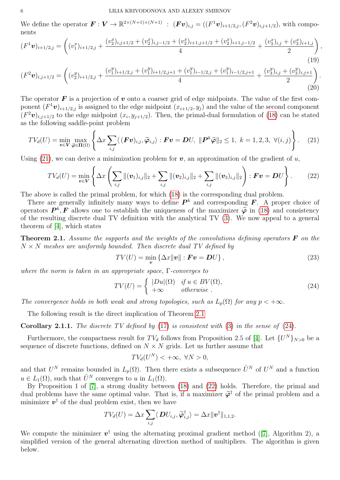We define the operator  $\mathbf{F}: \mathbf{V} \to \mathbb{R}^{2 \times (N+1) \times (N+1)}$  :  $(\mathbf{Fv})_{i,j} = ((F^1v)_{i+1/2,j}, (F^2v)_{i,j+1/2}),$  with components

$$
(F^1 \mathbf{v})_{i+1/2,j} = \left( (v_1^x)_{i+1/2,j} + \frac{(v_2^x)_{i,j+1/2} + (v_2^x)_{i,j-1/2} + (v_2^x)_{i+1,j+1/2} + (v_2^x)_{i+1,j-1/2}}{4} + \frac{(v_3^x)_{i,j} + (v_3^x)_{i+1,j}}{2} \right),
$$
\n
$$
(19)
$$
\n
$$
(F^2 \mathbf{v})_{i,j+1/2} = \left( (v_2^y)_{i+1/2,j} + \frac{(v_1^y)_{i+1/2,j} + (v_1^y)_{i+1/2,j+1} + (v_1^y)_{i-1/2,j+1} + (v_1^y)_{i-1/2,j+1}}{4} + \frac{(v_3^y)_{i,j} + (v_3^y)_{i,j+1}}{2} \right).
$$

The operator  $\bf{F}$  is a projection of  $\bf{v}$  onto a coarser grid of edge midpoints. The value of the first component  $(F^1v)_{i+1/2,j}$  is assigned to the edge midpoint  $(x_{i+1/2}, y_j)$  and the value of the second component  $(F^2v)_{i,j+1/2}$  to the edge midpoint  $(x_i, y_{j+1/2})$ . Then, the primal-dual formulation of [\(18\)](#page-4-3) can be stated as the following saddle-point problem

<span id="page-5-0"></span>
$$
TV_d(U) = \min_{\boldsymbol{v} \in \mathbf{V}} \max_{\widetilde{\boldsymbol{\varphi}} \in \Pi(\Omega)} \left\{ \Delta x \sum_{i,j} \langle (\boldsymbol{F} \boldsymbol{v})_{i,j}, \widetilde{\boldsymbol{\varphi}}_{i,j} \rangle : \boldsymbol{F} \boldsymbol{v} = \boldsymbol{D} U, \ \|\boldsymbol{P}^k \widetilde{\boldsymbol{\varphi}}\|_2 \le 1, \ k = 1, 2, 3, \ \forall (i,j) \right\}.
$$
 (21)

Using [\(21\)](#page-5-0), we can derive a minimization problem for  $v$ , an approximation of the gradient of u,

<span id="page-5-2"></span>
$$
TV_d(U) = \min_{\mathbf{v} \in \mathbf{V}} \left\{ \Delta x \left( \sum_{i,j} ||(\mathbf{v}_1)_{i,j}||_2 + \sum_{i,j} ||(\mathbf{v}_2)_{i,j}||_2 + \sum_{i,j} ||(\mathbf{v}_3)_{i,j}||_2 \right) : \mathbf{F}\mathbf{v} = \mathbf{D}U \right\}.
$$
 (22)

The above is called the primal problem, for which [\(18\)](#page-4-3) is the corresponding dual problem.

There are generally infinitely many ways to define  $P^k$  and corresponding F. A proper choice of operators  $\mathbf{P}^k$ ,  $\mathbf{F}$  allows one to establish the uniqueness of the maximizer  $\widetilde{\varphi}$  in [\(18\)](#page-4-3) and consistency<br>of the resulting discrete dual TV definition with the applytical TV (3). We now appeal to a general of the resulting discrete dual TV definition with the analytical TV [\(3\)](#page-0-1). We now appeal to a general theorem of [\[4\]](#page-14-1), which states

**Theorem 2.1.** Assume the supports and the weights of the convolutions defining operators  $\bf{F}$  on the  $N \times N$  meshes are uniformly bounded. Then discrete dual TV defined by

$$
TV(U) = \min_{\mathbf{v}} \left\{ \Delta x \|\mathbf{v}\| : \mathbf{F}\mathbf{v} = \mathbf{D}U \right\},\tag{23}
$$

(20)

where the norm is taken in an appropriate space, Γ-converges to

<span id="page-5-1"></span>
$$
TV(U) = \begin{cases} |Du|(\Omega) & \text{if } u \in BV(\Omega), \\ +\infty & \text{otherwise} \end{cases}
$$
 (24)

The convergence holds in both weak and strong topologies, such as  $L_p(\Omega)$  for any  $p < +\infty$ .

The following result is the direct implication of Theorem [2.1](#page-5-1)

**Corollary 2.1.1.** The discrete TV defined by  $(17)$  is consistent with  $(3)$  in the sense of  $(24)$ .

Furthermore, the compactness result for  $TV_d$  follows from Proposition 2.5 of [\[4\]](#page-14-1). Let  $\{U^N\}_{N>0}$  be a sequence of discrete functions, defined on  $N \times N$  grids. Let us further assume that

$$
TV_d(U^N) < +\infty, \ \forall N > 0,
$$

and that  $U^N$  remains bounded in  $L_p(\Omega)$ . Then there exists a subsequence  $\hat{U}^N$  of  $U^N$  and a function  $u \in L_1(\Omega)$ , such that  $\hat{U}^N$  converges to u in  $L_1(\Omega)$ .

By Proposition 1 of [\[7\]](#page-15-12), a strong duality between [\(18\)](#page-4-3) and [\(22\)](#page-5-2) holds. Therefore, the primal and dual problems have the same optimal value. That is, if a maximizer  $\tilde{\varphi}^{\dagger}$  of the primal problem and a minimizer  $\mathbf{a}^{\dagger}$  of the dual problem exist, then we have minimizer  $v^{\dagger}$  of the dual problem exist, then we have

$$
TV_d(U) = \Delta x \sum_{i,j} \langle \mathbf{D} U_{i,j}, \widetilde{\boldsymbol{\varphi}}_{i,j}^{\dagger} \rangle = \Delta x ||\boldsymbol{v}^{\dagger}||_{1,1,2}.
$$

Wecompute the minimizer  $v^{\dagger}$  using the alternating proximal gradient method ([\[7\]](#page-15-12), Algorithm 2), a simplified version of the general alternating direction method of multipliers. The algorithm is given below.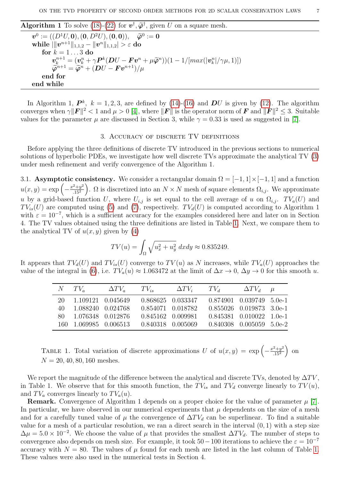Algorithm 1 To solve [\(18\)](#page-4-3)-[\(22\)](#page-5-2) for  $\mathbf{v}^{\dagger}$ ,  $\widetilde{\varphi}^{\dagger}$ , given U on a square mesh.

 $\mathbf{v}^0 := ((D^1 U, \mathbf{0}), (\mathbf{0}, D^2 U), (\mathbf{0}, \mathbf{0})), \quad \widetilde{\boldsymbol{\varphi}}^0 := \mathbf{0}$ <br>while  $||\mathbf{v}^{n+1}||_{\mathbf{0},\mathbf{0},\mathbf{0}} = ||\mathbf{v}^n||_{\mathbf{0},\mathbf{0},\mathbf{0}} > \varepsilon$  do  $\textbf{while }|\|\bm{v}^{n+1}\|_{1,1,2}-\|\bm{v}^n\|_{1,1,2}|>\varepsilon\textbf{ do}$ for  $k = 1 \dots 3$  do  $\mathbf{v}_k^{n+1} = (\mathbf{v}_k^n + \gamma \mathbf{P}^k (\mathbf{D}U - \mathbf{F} \mathbf{v}^n + \mu \widetilde{\boldsymbol{\varphi}}^n)) (1 - 1/[\max(|\mathbf{v}_k^n|/\gamma \mu, 1)])$  $\widetilde{\varphi}^{n+1} = \widetilde{\varphi}^{n} + (DU - Fv^{n+1})/\mu$ end for end while

In Algorithm 1,  $\mathbf{P}^k$ ,  $k = 1, 2, 3$ , are defined by [\(14\)](#page-3-1)-[\(16\)](#page-4-2) and  $\mathbf{D}U$  is given by [\(12\)](#page-2-5). The algorithm converges when  $\gamma ||F||^2 < 1$  and  $\mu > 0$  [\[4\]](#page-14-1), where  $||F||$  is the operator norm of F and  $||F||^2 \leq 3$ . Suitable values for the parameter  $\mu$  are discussed in Section 3, while  $\gamma = 0.33$  is used as suggested in [\[7\]](#page-15-12).

### 3. Accuracy of discrete TV definitions

Before applying the three definitions of discrete TV introduced in the previous sections to numerical solutions of hyperbolic PDEs, we investigate how well discrete TVs approximate the analytical TV [\(3\)](#page-0-1) under mesh refinement and verify convergence of the Algorithm 1.

3.1. Asymptotic consistency. We consider a rectangular domain  $\Omega = [-1, 1] \times [-1, 1]$  and a function  $u(x,y) = \exp\left(-\frac{x^2+y^2}{15^2}\right)$  $\left(\frac{2+y^2}{15^2}\right)$ .  $\Omega$  is discretized into an  $N \times N$  mesh of square elements  $\Omega_{i,j}$ . We approximate u by a grid-based function U, where  $U_{i,j}$  is set equal to the cell average of u on  $\Omega_{i,j}$ .  $TV_a(U)$  and  $TV_{is}(U)$  are computed using [\(5\)](#page-0-2) and [\(7\)](#page-1-0), respectively.  $TV_d(U)$  is computed according to Algorithm 1 with  $\varepsilon = 10^{-7}$ , which is a sufficient accuracy for the examples considered here and later on in Section 4. The TV values obtained using the three definitions are listed in Table [1.](#page-6-0) Next, we compare them to the analytical TV of  $u(x, y)$  given by [\(4\)](#page-0-3)

$$
TV(u) = \int_{\Omega} \sqrt{u_x^2 + u_y^2} \, dxdy \approx 0.835249.
$$

<span id="page-6-0"></span>It appears that  $TV_d(U)$  and  $TV_{is}(U)$  converge to  $TV(u)$  as N increases, while  $TV_a(U)$  approaches the value of the integral in [\(6\)](#page-1-1), i.e.  $TV_a(u) \approx 1.063472$  at the limit of  $\Delta x \to 0$ ,  $\Delta y \to 0$  for this smooth u.

|       | $N-TV_{\sigma}$       | $\Delta TV_a$ | $TV_{is}$         | $\Delta TV_i$ $TV_d$ |                                | $\Delta TV_d$            | $\mu$ |
|-------|-----------------------|---------------|-------------------|----------------------|--------------------------------|--------------------------|-------|
|       | 20 1.109121 0.045649  |               |                   | 0.868625 0.033347    | $0.874901$ $0.039749$ 5.0e-1   |                          |       |
| 40    | 1.088240 0.024768     |               |                   | 0.854071 0.018782    |                                | 0.855026 0.019873 3.0e-1 |       |
| -80 - | 1.076348 0.012876     |               | 0.845162 0.009981 |                      | $0.845381$ $0.010022$ $1.0e-1$ |                          |       |
|       | 160 1.069985 0.006513 |               | 0.840318 0.005069 |                      | $0.840308$ $0.005059$ $5.0e-2$ |                          |       |

TABLE 1. Total variation of discrete approximations U of  $u(x,y) = \exp \left(-\frac{x^2+y^2}{15^2}\right)$  $\frac{1}{15^2}$  on  $N = 20, 40, 80, 160$  meshes.

We report the magnitude of the difference between the analytical and discrete TVs, denoted by  $\Delta TV$ , in Table 1. We observe that for this smooth function, the  $TV_{is}$  and  $TV_d$  converge linearly to  $TV(u)$ , and  $TV_a$  converges linearly to  $TV_a(u)$ .

**Remark.** Convergence of Algorithm 1 depends on a proper choice for the value of parameter  $\mu$  [\[7\]](#page-15-12). In particular, we have observed in our numerical experiments that  $\mu$  dependents on the size of a mesh and for a carefully tuned value of  $\mu$  the convergence of  $\Delta TV_d$  can be superlinear. To find a suitable value for a mesh of a particular resolution, we ran a direct search in the interval  $(0, 1)$  with a step size  $\Delta \mu = 5.0 \times 10^{-2}$ . We choose the value of  $\mu$  that provides the smallest  $\Delta T V_d$ . The number of steps to convergence also depends on mesh size. For example, it took  $50-100$  iterations to achieve the  $\varepsilon = 10^{-7}$ accuracy with  $N = 80$ . The values of  $\mu$  found for each mesh are listed in the last column of Table [1.](#page-6-0) These values were also used in the numerical tests in Section 4.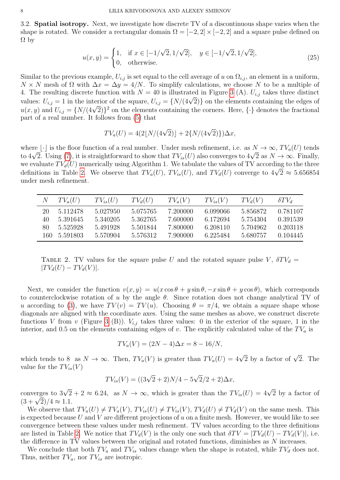3.2. Spatial isotropy. Next, we investigate how discrete TV of a discontinuous shape varies when the shape is rotated. We consider a rectangular domain  $\Omega = [-2, 2] \times [-2, 2]$  and a square pulse defined on  $\Omega$  by

$$
u(x,y) = \begin{cases} 1, & \text{if } x \in [-1/\sqrt{2}, 1/\sqrt{2}], \quad y \in [-1/\sqrt{2}, 1/\sqrt{2}], \\ 0, & \text{otherwise.} \end{cases}
$$
(25)

Similar to the previous example,  $U_{i,j}$  is set equal to the cell average of u on  $\Omega_{i,j}$ , an element in a uniform,  $N \times N$  mesh of  $\Omega$  with  $\Delta x = \Delta y = 4/N$ . To simplify calculations, we choose N to be a multiple of 4. The resulting discrete function with  $N = 40$  is illustrated in Figure [3](#page-8-0) (A).  $U_{i,j}$  takes three distinct 4. The resulting discrete function with  $N = 40$  is intistrated in Figure 5 (A).  $U_{i,j}$  takes three distinct values:  $U_{i,j} = 1$  in the interior of the square,  $U_{i,j} = \{N/(4\sqrt{2})\}$  on the elements containing the edges of values:  $U_{i,j} = 1$  in the interior of the square,  $U_{i,j} = \{N/(4\sqrt{2})\}$  on the elements containing the corners  $u(x, y)$  and  $U_{i,j} = \{N/(4\sqrt{2})\}^2$  on the elements containing the corners. Here,  $\{\cdot\}$  denotes the fractional part of a real number. It follows from [\(5\)](#page-0-2) that

$$
TV_a(U) = 4(2\lfloor N/(4\sqrt{2})\rfloor + 2\{N/(4\sqrt{2})\})\Delta x,
$$

where  $\lfloor \cdot \rfloor$  is the floor function of a real number. Under mesh refinement, i.e. as  $N \to \infty$ ,  $TV_a(U)$  tends where  $\lfloor \cdot \rfloor$  is the noor function of a real number. Under mesh refinement, i.e. as  $N \to \infty$ ,  $I v_a(U)$  tends to  $4\sqrt{2}$ . Using [\(7\)](#page-1-0), it is straightforward to show that  $TV_{is}(U)$  also converges to  $4\sqrt{2}$  as  $N \to \infty$ . Fi we evaluate  $TV_d(U)$  numerically using Algorithm 1. We tabulate the values of TV according to the three we evaluate 1  $V_d(U)$  numerically using Algorithm 1. We tabulate the values of 1 v according to the three definitions in Table [2.](#page-7-0) We observe that  $TV_a(U)$ ,  $TV_{is}(U)$ , and  $TV_d(U)$  converge to  $4\sqrt{2} \approx 5.656854$ under mesh refinement.

<span id="page-7-0"></span>

| N   | $TV_a(U)$ | $TV_{is}(U)$ | $TV_d(U)$ | $TV_a(V)$ | $TV_{is}(V)$ | $TV_d(V)$ | $\delta TV_a$ |
|-----|-----------|--------------|-----------|-----------|--------------|-----------|---------------|
| 20  | 5.112478  | 5.027950     | 5.075765  | 7.200000  | 6.099066     | 5.856872  | 0.781107      |
| 40  | 5.391645  | 5.340205     | 5.362765  | 7.600000  | 6.172694     | 5.754304  | 0.391539      |
| 80  | 5.525928  | 5.491928     | 5.501844  | 7.800000  | 6.208110     | 5.704962  | 0.203118      |
| 160 | 5.591803  | 5.570904     | 5.576312  | 7.900000  | 6.225484     | 5.680757  | 0.104445      |

TABLE 2. TV values for the square pulse U and the rotated square pulse V,  $\delta T V_d$  =  $|TV_d(U) - TV_d(V)|.$ 

Next, we consider the function  $v(x, y) = u(x \cos \theta + y \sin \theta, -x \sin \theta + y \cos \theta)$ , which corresponds to counterclockwise rotation of u by the angle  $\theta$ . Since rotation does not change analytical TV of u according to [\(3\)](#page-0-1), we have  $TV(v) = TV(u)$ . Choosing  $\theta = \pi/4$ , we obtain a square shape whose diagonals are aligned with the coordinate axes. Using the same meshes as above, we construct discrete functions V from v (Figure [3](#page-8-0) (B)).  $V_{i,j}$  takes three values: 0 in the exterior of the square, 1 in the interior, and 0.5 on the elements containing edges of v. The explicitly calculated value of the  $TV_a$  is

$$
TV_a(V) = (2N - 4)\Delta x = 8 - 16/N,
$$

which tends to 8 as  $N \to \infty$ . Then,  $TV_a(V)$  is greater than  $TV_a(U) = 4\sqrt{2}$  by a factor of  $\sqrt{2}$ . The value for the  $TV_{is}(V)$ 

$$
TV_{is}(V) = ((3\sqrt{2} + 2)N/4 - 5\sqrt{2}/2 + 2)\Delta x,
$$

converges to  $3\sqrt{2} + 2 \approx 6.24$ , as  $N \to \infty$ , which is greater than the  $TV_{is}(U) = 4\sqrt{2}$  by a factor of converges to  $3\sqrt{2}$ <br> $(3+\sqrt{2})/4 \approx 1.1$ .

We observe that  $TV_a(U) \neq TV_a(V)$ ,  $TV_{is}(U) \neq TV_{is}(V)$ ,  $TV_d(U) \neq TV_d(V)$  on the same mesh. This is expected because U and V are different projections of u on a finite mesh. However, we would like to see convergence between these values under mesh refinement. TV values according to the three definitions are listed in Table [2.](#page-7-0) We notice that  $TV_d(V)$  is the only one such that  $\delta TV = |TV_d(U) - TV_d(V)|$ , i.e. the difference in TV values between the original and rotated functions, diminishes as N increases.

We conclude that both  $TV_a$  and  $TV_{is}$  values change when the shape is rotated, while  $TV_d$  does not. Thus, neither  $TV_a$ , nor  $TV_{is}$  are isotropic.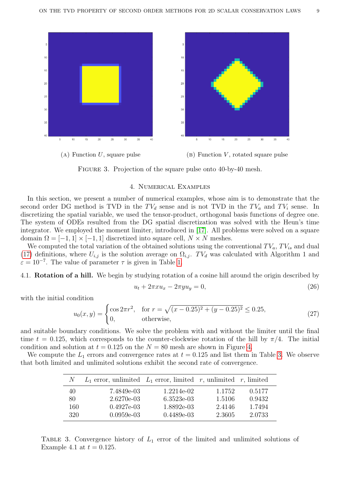<span id="page-8-0"></span>

FIGURE 3. Projection of the square pulse onto 40-by-40 mesh.

### 4. Numerical Examples

In this section, we present a number of numerical examples, whose aim is to demonstrate that the second order DG method is TVD in the  $TV_d$  sense and is not TVD in the  $TV_a$  and  $TV_i$  sense. In discretizing the spatial variable, we used the tensor-product, orthogonal basis functions of degree one. The system of ODEs resulted from the DG spatial discretization was solved with the Heun's time integrator. We employed the moment limiter, introduced in [\[17\]](#page-15-16). All problems were solved on a square domain  $\Omega = [-1, 1] \times [-1, 1]$  discretized into square cell,  $N \times N$  meshes.

We computed the total variation of the obtained solutions using the conventional  $TV_a$ ,  $TV_{is}$  and dual [\(17\)](#page-4-1) definitions, where  $U_{i,j}$  is the solution average on  $\Omega_{i,j}$ . TV<sub>d</sub> was calculated with Algorithm 1 and  $\varepsilon = 10^{-7}$ . The value of parameter  $\tau$  is given in Table [1.](#page-6-0)

4.1. Rotation of a hill. We begin by studying rotation of a cosine hill around the origin described by

<span id="page-8-3"></span><span id="page-8-2"></span>
$$
u_t + 2\pi x u_x - 2\pi y u_y = 0,\t\t(26)
$$

with the initial condition

$$
u_0(x,y) = \begin{cases} \cos 2\pi r^2, & \text{for } r = \sqrt{(x - 0.25)^2 + (y - 0.25)^2} \le 0.25, \\ 0, & \text{otherwise,} \end{cases} \tag{27}
$$

and suitable boundary conditions. We solve the problem with and without the limiter until the final time  $t = 0.125$ , which corresponds to the counter-clockwise rotation of the hill by  $\pi/4$ . The initial condition and solution at  $t = 0.125$  on the  $N = 80$  mesh are shown in Figure [4.](#page-9-0)

<span id="page-8-1"></span>We compute the  $L_1$  errors and convergence rates at  $t = 0.125$  and list them in Table [3.](#page-8-1) We observe that both limited and unlimited solutions exhibit the second rate of convergence.

| N.  | $L_1$ error, unlimited $L_1$ error, limited r, unlimited r, limited |              |        |        |
|-----|---------------------------------------------------------------------|--------------|--------|--------|
| 40  | 7.4849e-03                                                          | $1.2214e-02$ | 1.1752 | 0.5177 |
| 80  | 2.6270e-03                                                          | 6.3523e-03   | 1.5106 | 0.9432 |
| 160 | $0.4927e-03$                                                        | 1.8892e-03   | 2.4146 | 1.7494 |
| 320 | $0.0959e-03$                                                        | $0.4489e-03$ | 2.3605 | 2.0733 |

TABLE 3. Convergence history of  $L_1$  error of the limited and unlimited solutions of Example 4.1 at  $t = 0.125$ .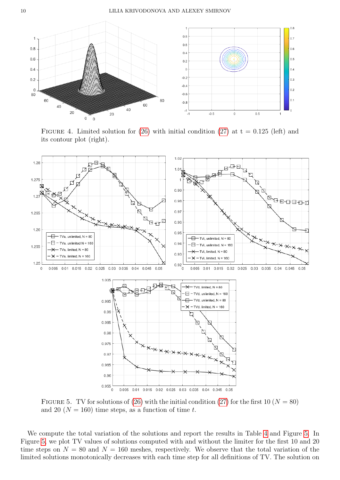<span id="page-9-0"></span>

FIGURE 4. Limited solution for  $(26)$  with initial condition  $(27)$  at t = 0.125 (left) and its contour plot (right).

<span id="page-9-1"></span>

FIGURE 5. TV for solutions of [\(26\)](#page-8-2) with the initial condition [\(27\)](#page-8-3) for the first 10 ( $N = 80$ ) and 20 ( $N = 160$ ) time steps, as a function of time t.

We compute the total variation of the solutions and report the results in Table [4](#page-10-0) and Figure [5.](#page-9-1) In Figure [5,](#page-9-1) we plot TV values of solutions computed with and without the limiter for the first 10 and 20 time steps on  $N = 80$  and  $N = 160$  meshes, respectively. We observe that the total variation of the limited solutions monotonically decreases with each time step for all definitions of TV. The solution on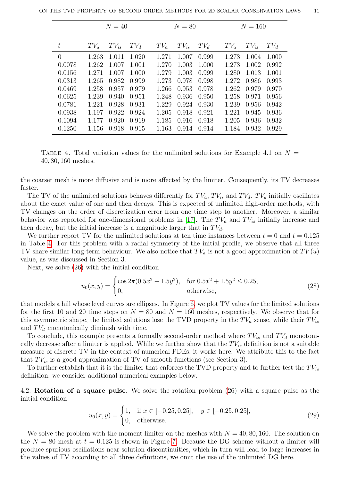<span id="page-10-0"></span>

|          | $N=40$ |           |        |        | $N=80$    |        |        | $N = 160$ |        |  |
|----------|--------|-----------|--------|--------|-----------|--------|--------|-----------|--------|--|
| $t\,$    | $TV_a$ | $TV_{is}$ | $TV_d$ | $TV_a$ | $TV_{is}$ | $TV_d$ | $TV_a$ | $TV_{is}$ | $TV_d$ |  |
| $\theta$ | 1.263  | 1.011     | 1.020  | 1.271  | 1.007     | 0.999  | 1.273  | 1.004     | 1.000  |  |
| 0.0078   | 1.262  | 1.007     | 1.001  | 1.270  | 1.003     | 1.000  | 1.273  | 1.002     | 0.992  |  |
| 0.0156   | 1.271  | 1.007     | 1.000  | 1.279  | 1.003     | 0.999  | 1.280  | 1.013     | 1.001  |  |
| 0.0313   | 1.265  | 0.982     | 0.999  | 1.273  | 0.978     | 0.998  | 1.272  | 0.986     | 0.993  |  |
| 0.0469   | 1.258  | 0.957     | 0.979  | 1.266  | 0.953     | 0.978  | 1.262  | 0.979     | 0.970  |  |
| 0.0625   | 1.239  | 0.940     | 0.951  | 1.248  | 0.936     | 0.950  | 1.258  | 0.971     | 0.956  |  |
| 0.0781   | 1.221  | 0.928     | 0.931  | 1.229  | 0.924     | 0.930  | 1.239  | 0.956     | 0.942  |  |
| 0.0938   | 1.197  | 0.922     | 0.924  | 1.205  | 0.918     | 0.921  | 1.221  | 0.945     | 0.936  |  |
| 0.1094   | 1.177  | 0.920     | 0.919  | 1.185  | 0.916     | 0.918  | 1.205  | 0.936     | 0.932  |  |
| 0.1250   | 1.156  | 0.918     | 0.915  | 1.163  | 0.914     | 0.914  | 1.184  | 0.932     | 0.929  |  |

TABLE 4. Total variation values for the unlimited solutions for Example 4.1 on  $N =$ 40, 80, 160 meshes.

the coarser mesh is more diffusive and is more affected by the limiter. Consequently, its TV decreases faster.

The TV of the unlimited solutions behaves differently for  $TV_a$ ,  $TV_a$  and  $TV_d$ .  $TV_d$  initially oscillates about the exact value of one and then decays. This is expected of unlimited high-order methods, with TV changes on the order of discretization error from one time step to another. Moreover, a similar behavior was reported for one-dimensional problems in [\[17\]](#page-15-16). The  $TV_a$  and  $TV_{is}$  initially increase and then decay, but the initial increase is a magnitude larger that in  $TV_d$ .

We further report TV for the unlimited solutions at ten time instances between  $t = 0$  and  $t = 0.125$ in Table [4.](#page-10-0) For this problem with a radial symmetry of the initial profile, we observe that all three TV share similar long-term behaviour. We also notice that  $TV_a$  is not a good approximation of  $TV(u)$ value, as was discussed in Section 3.

Next, we solve [\(26\)](#page-8-2) with the initial condition

<span id="page-10-1"></span>
$$
u_0(x,y) = \begin{cases} \cos 2\pi (0.5x^2 + 1.5y^2), & \text{for } 0.5x^2 + 1.5y^2 \le 0.25, \\ 0, & \text{otherwise,} \end{cases}
$$
(28)

that models a hill whose level curves are ellipses. In Figure [6,](#page-11-0) we plot TV values for the limited solutions for the first 10 and 20 time steps on  $N = 80$  and  $N = 160$  meshes, respectively. We observe that for this asymmetric shape, the limited solutions lose the TVD property in the  $TV_a$  sense, while their  $TV_{is}$ and  $TV_d$  monotonically diminish with time.

To conclude, this example presents a formally second-order method where  $TV_{is}$  and  $TV_d$  monotonically decrease after a limiter is applied. While we further show that the  $TV_{is}$  definition is not a suitable measure of discrete TV in the context of numerical PDEs, it works here. We attribute this to the fact that  $TV_{is}$  is a good approximation of TV of smooth functions (see Section 3).

To further establish that it is the limiter that enforces the TVD property and to further test the  $TV_{is}$ definition, we consider additional numerical examples below.

4.2. Rotation of a square pulse. We solve the rotation problem [\(26\)](#page-8-2) with a square pulse as the initial condition

$$
u_0(x,y) = \begin{cases} 1, & \text{if } x \in [-0.25, 0.25], \quad y \in [-0.25, 0.25], \\ 0, & \text{otherwise.} \end{cases} \tag{29}
$$

We solve the problem with the moment limiter on the meshes with  $N = 40, 80, 160$ . The solution on the  $N = 80$  mesh at  $t = 0.125$  is shown in Figure [7.](#page-11-1) Because the DG scheme without a limiter will produce spurious oscillations near solution discontinuities, which in turn will lead to large increases in the values of TV according to all three definitions, we omit the use of the unlimited DG here.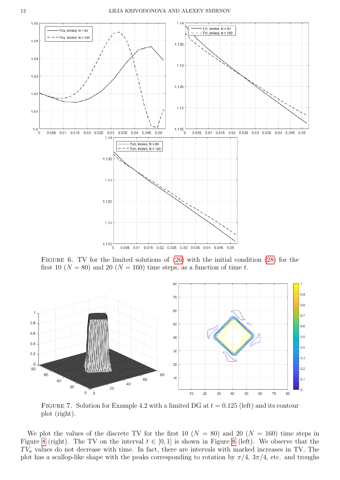<span id="page-11-0"></span>

FIGURE 6. TV for the limited solutions of  $(26)$  with the initial condition  $(28)$  for the first 10 ( $N = 80$ ) and 20 ( $N = 160$ ) time steps, as a function of time t.

<span id="page-11-1"></span>

FIGURE 7. Solution for Example 4.2 with a limited DG at  $t = 0.125$  (left) and its contour plot (right).

We plot the values of the discrete TV for the first 10 ( $N = 80$ ) and 20 ( $N = 160$ ) time steps in Figure [8](#page-12-0) (right). The TV on the interval  $t \in [0,1]$  is shown in Figure 8 (left). We observe that the  $TV_a$  values do not decrease with time. In fact, there are intervals with marked increases in TV. The plot has a scallop-like shape with the peaks corresponding to rotation by  $\pi/4$ ,  $3\pi/4$ , etc. and troughs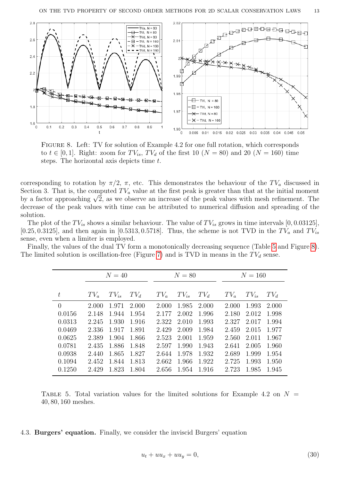<span id="page-12-0"></span>

FIGURE 8. Left: TV for solution of Example 4.2 for one full rotation, which corresponds to  $t \in [0, 1]$ . Right: zoom for  $TV_{is}$ ,  $TV_d$  of the first 10 ( $N = 80$ ) and 20 ( $N = 160$ ) time steps. The horizontal axis depicts time t.

corresponding to rotation by  $\pi/2$ ,  $\pi$ , etc. This demonstrates the behaviour of the TV<sub>a</sub> discussed in Section 3. That is, the computed  $TV_a$  value at the first peak is greater than that at the initial moment Section 3. That is, the computed  $TV_a$  value at the first peak is greater than that at the initial moment<br>by a factor approaching  $\sqrt{2}$ , as we observe an increase of the peak values with mesh refinement. The decrease of the peak values with time can be attributed to numerical diffusion and spreading of the solution.

The plot of the  $TV_{is}$  shows a similar behaviour. The value of  $TV_{is}$  grows in time intervals [0, 0.03125], [0.25, 0.3125], and then again in [0.5313, 0.5718]. Thus, the scheme is not TVD in the  $TV_a$  and  $TV_{is}$ sense, even when a limiter is employed.

<span id="page-12-1"></span>

| Finally, the values of the dual TV form a monotonically decreasing sequence (Table 5 and Figure 8). |  |  |
|-----------------------------------------------------------------------------------------------------|--|--|
| The limited solution is oscillation-free (Figure 7) and is TVD in means in the $TV_d$ sense.        |  |  |

| $N=40$ |       |           |       | $N=80$ |           |        | $N = 160$ |           |  |
|--------|-------|-----------|-------|--------|-----------|--------|-----------|-----------|--|
|        |       |           |       |        |           |        |           |           |  |
| $TV_a$ |       | $TV_d$    |       |        |           | $TV_a$ |           | $TV_d$    |  |
| 2.000  | 1.971 | 2.000     | 2.000 | 1.985  | 2.000     | 2.000  | 1.993     | 2.000     |  |
| 2.148  | 1.944 | 1.954     | 2.177 | 2.002  | 1.996     | 2.180  | 2.012     | 1.998     |  |
| 2.245  | 1.930 | 1.916     | 2.322 | 2.010  | 1.993     | 2.327  | 2.017     | 1.994     |  |
| 2.336  | 1.917 | 1.891     | 2.429 | 2.009  | 1.984     | 2.459  | 2.015     | 1.977     |  |
| 2.389  | 1.904 | 1.866     | 2.523 | 2.001  | 1.959     | 2.560  | 2.011     | 1.967     |  |
| 2.435  | 1.886 | 1.848     | 2.597 | 1.990  | 1.943     | 2.641  | 2.005     | 1.960     |  |
| 2.440  | 1.865 | 1.827     | 2.644 | 1.978  | 1.932     | 2.689  | 1.999     | 1.954     |  |
| 2.452  | 1.844 | 1.813     | 2.662 | 1.966  | 1.922     | 2.725  | 1.993     | 1.950     |  |
| 2.429  | 1.823 | 1.804     | 2.656 | 1.954  | 1.916     | 2.723  | 1.985     | 1.945     |  |
|        |       | $TV_{is}$ |       | $TV_a$ | $TV_{is}$ | $TV_d$ |           | $TV_{is}$ |  |

TABLE 5. Total variation values for the limited solutions for Example 4.2 on  $N =$ 40, 80, 160 meshes.

### 4.3. Burgers' equation. Finally, we consider the inviscid Burgers' equation

$$
u_t + uu_x + uu_y = 0,\t\t(30)
$$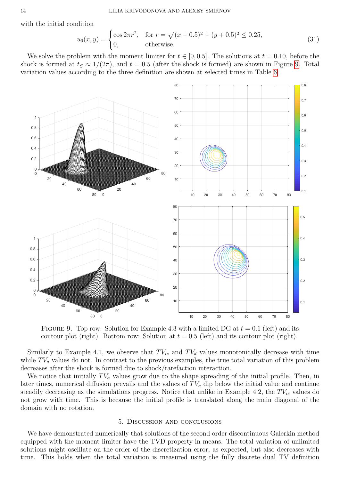with the initial condition

$$
u_0(x,y) = \begin{cases} \cos 2\pi r^2, & \text{for } r = \sqrt{(x+0.5)^2 + (y+0.5)^2} \le 0.25, \\ 0, & \text{otherwise.} \end{cases}
$$
(31)

We solve the problem with the moment limiter for  $t \in [0, 0.5]$ . The solutions at  $t = 0.10$ , before the shock is formed at  $t_s \approx 1/(2\pi)$ , and  $t = 0.5$  (after the shock is formed) are shown in Figure [9.](#page-13-0) Total variation values according to the three definition are shown at selected times in Table [6.](#page-14-5)

<span id="page-13-0"></span>

FIGURE 9. Top row: Solution for Example 4.3 with a limited DG at  $t = 0.1$  (left) and its contour plot (right). Bottom row: Solution at  $t = 0.5$  (left) and its contour plot (right).

Similarly to Example 4.1, we observe that  $TV_{is}$  and  $TV_d$  values monotonically decrease with time while  $TV_a$  values do not. In contrast to the previous examples, the true total variation of this problem decreases after the shock is formed due to shock/rarefaction interaction.

We notice that initially  $TV_a$  values grow due to the shape spreading of the initial profile. Then, in later times, numerical diffusion prevails and the values of  $TV_a$  dip below the initial value and continue steadily decreasing as the simulations progress. Notice that unlike in Example 4.2, the  $TV_{is}$  values do not grow with time. This is because the initial profile is translated along the main diagonal of the domain with no rotation.

### 5. Discussion and conclusions

We have demonstrated numerically that solutions of the second order discontinuous Galerkin method equipped with the moment limiter have the TVD property in means. The total variation of unlimited solutions might oscillate on the order of the discretization error, as expected, but also decreases with time. This holds when the total variation is measured using the fully discrete dual TV definition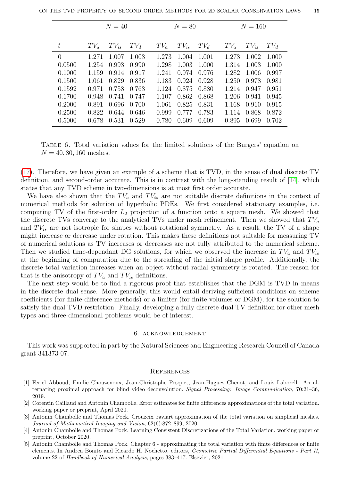<span id="page-14-5"></span>

|          | $N=40$ |           |        |        | $N=80$    |        |        | $N = 160$ |        |  |
|----------|--------|-----------|--------|--------|-----------|--------|--------|-----------|--------|--|
|          |        |           |        |        |           |        |        |           |        |  |
| $t\,$    | $TV_a$ | $TV_{is}$ | $TV_d$ | $TV_a$ | $TV_{is}$ | $TV_d$ | $TV_a$ | $TV_{is}$ | $TV_d$ |  |
| $\Omega$ | 1.271  | 1.007     | 1.003  | 1.273  | 1.004     | 1.001  | 1.273  | 1.002     | 1.000  |  |
| 0.0500   | 1.254  | 0.993     | 0.990  | 1.298  | 1.003     | 1.000  | 1.314  | 1.003     | 1.000  |  |
| 0.1000   | 1.159  | 0.914     | 0.917  | 1.241  | 0.974     | 0.976  | 1.282  | 1.006     | 0.997  |  |
| 0.1500   | 1.061  | 0.829     | 0.836  | 1.183  | 0.924     | 0.928  | 1.250  | 0.978     | 0.981  |  |
| 0.1592   | 0.971  | 0.758     | 0.763  | 1.124  | 0.875     | 0.880  | 1.214  | 0.947     | 0.951  |  |
| 0.1700   | 0.948  | 0.741     | 0.747  | 1.107  | 0.862     | 0.868  | 1.206  | 0.941     | 0.945  |  |
| 0.2000   | 0.891  | 0.696     | 0.700  | 1.061  | 0.825     | 0.831  | 1.168  | 0.910     | 0.915  |  |
| 0.2500   | 0.822  | 0.644     | 0.646  | 0.999  | 0.777     | 0.783  | 1.114  | 0.868     | 0.872  |  |
| 0.5000   | 0.678  | 0.531     | 0.529  | 0.780  | 0.609     | 0.609  | 0.895  | 0.699     | 0.702  |  |

Table 6. Total variation values for the limited solutions of the Burgers' equation on  $N = 40, 80, 160$  meshes.

[\(17\)](#page-4-1). Therefore, we have given an example of a scheme that is TVD, in the sense of dual discrete TV definition, and second-order accurate. This is in contrast with the long-standing result of [\[14\]](#page-15-0), which states that any TVD scheme in two-dimensions is at most first order accurate.

We have also shown that the  $TV_a$  and  $TV_{is}$  are not suitable discrete definitions in the context of numerical methods for solution of hyperbolic PDEs. We first considered stationary examples, i.e. computing TV of the first-order  $L_2$  projection of a function onto a square mesh. We showed that the discrete TVs converge to the analytical TVs under mesh refinement. Then we showed that  $TV_a$ and  $TV_{is}$  are not isotropic for shapes without rotational symmetry. As a result, the TV of a shape might increase or decrease under rotation. This makes these definitions not suitable for measuring TV of numerical solutions as TV increases or decreases are not fully attributed to the numerical scheme. Then we studied time-dependant DG solutions, for which we observed the increase in  $TV_a$  and  $TV_{is}$ at the beginning of computation due to the spreading of the initial shape profile. Additionally, the discrete total variation increases when an object without radial symmetry is rotated. The reason for that is the anisotropy of  $TV_a$  and  $TV_{is}$  definitions.

The next step would be to find a rigorous proof that establishes that the DGM is TVD in means in the discrete dual sense. More generally, this would entail deriving sufficient conditions on scheme coefficients (for finite-difference methods) or a limiter (for finite volumes or DGM), for the solution to satisfy the dual TVD restriction. Finally, developing a fully discrete dual TV definition for other mesh types and three-dimensional problems would be of interest.

### 6. acknowledgement

This work was supported in part by the Natural Sciences and Engineering Research Council of Canada grant 341373-07.

### **REFERENCES**

- <span id="page-14-3"></span>[1] Feriel Abboud, Emilie Chouzenoux, Jean-Christophe Pesquet, Jean-Hugues Chenot, and Louis Laborelli. An alternating proximal approach for blind video deconvolution. Signal Processing: Image Communication, 70:21–36, 2019.
- <span id="page-14-0"></span>[2] Corentin Caillaud and Antonin Chambolle. Error estimates for finite differences approximations of the total variation. working paper or preprint, April 2020.
- <span id="page-14-4"></span>[3] Antonin Chambolle and Thomas Pock. Crouzeix–raviart approximation of the total variation on simplicial meshes. Journal of Mathematical Imaging and Vision, 62(6):872–899, 2020.
- <span id="page-14-1"></span>[4] Antonin Chambolle and Thomas Pock. Learning Consistent Discretizations of the Total Variation. working paper or preprint, October 2020.
- <span id="page-14-2"></span>[5] Antonin Chambolle and Thomas Pock. Chapter 6 - approximating the total variation with finite differences or finite elements. In Andrea Bonito and Ricardo H. Nochetto, editors, Geometric Partial Differential Equations - Part II, volume 22 of Handbook of Numerical Analysis, pages 383–417. Elsevier, 2021.